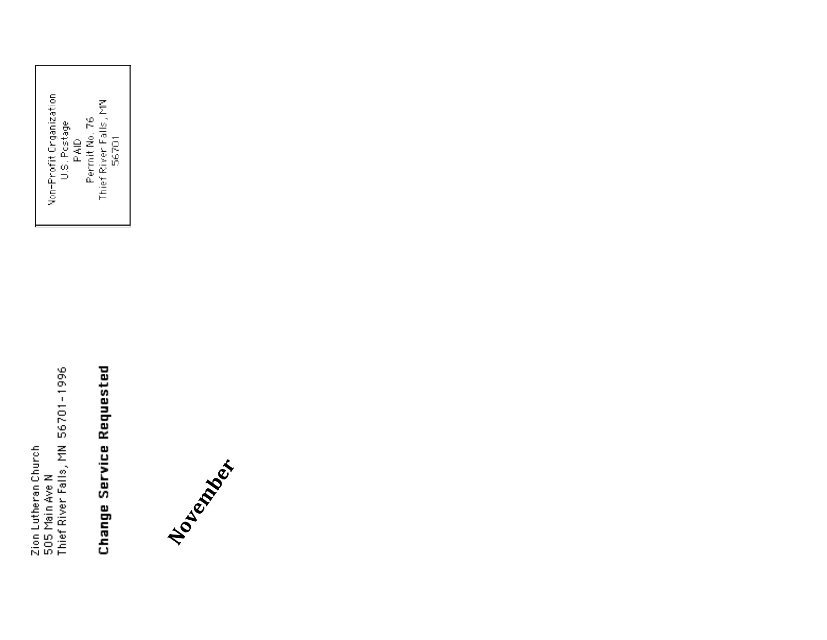Zion Lutheran Church<br>505 Main Ave N<br>Thief River Falls, MN 56701-1996

Change Service Requested

Non-Profit Organization<br>U.S. Postage<br>Permit No. 76<br>Thief River Falls, MN<br>Thief River Falls, MN

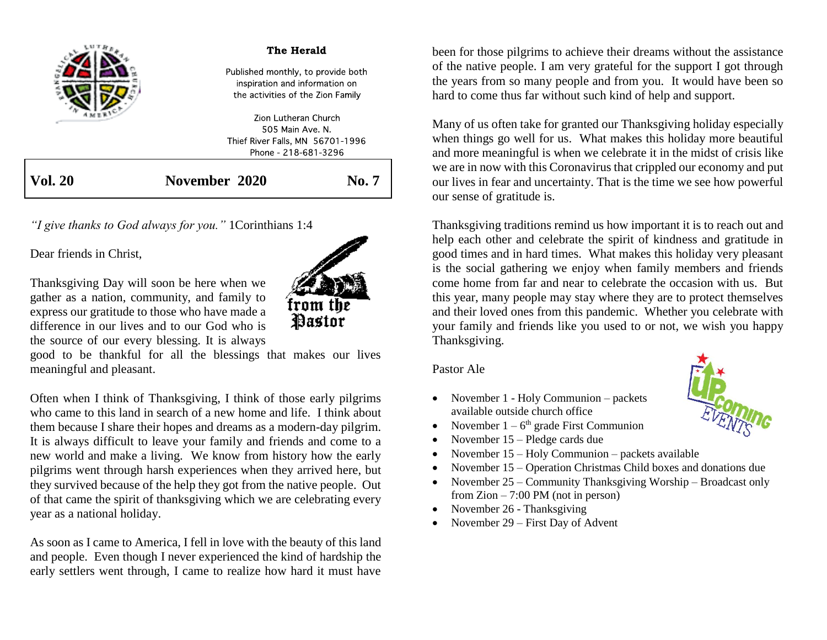|         | The Herald                                                                                                |       |
|---------|-----------------------------------------------------------------------------------------------------------|-------|
|         | Published monthly, to provide both<br>inspiration and information on<br>the activities of the Zion Family |       |
|         | Zion Lutheran Church<br>505 Main Ave N                                                                    |       |
|         | Thief River Falls, MN 56701-1996                                                                          |       |
|         | Phone - 218-681-3296                                                                                      |       |
| Vol. 20 | November 2020                                                                                             | No. 7 |

*"I give thanks to God always for you."* 1Corinthians 1:4

Dear friends in Christ,

Thanksgiving Day will soon be here when we gather as a nation, community, and family to express our gratitude to those who have made a difference in our lives and to our God who is the source of our every blessing. It is always



Often when I think of Thanksgiving, I think of those early pilgrims who came to this land in search of a new home and life. I think about them because I share their hopes and dreams as a modern-day pilgrim. It is always difficult to leave your family and friends and come to a new world and make a living. We know from history how the early pilgrims went through harsh experiences when they arrived here, but they survived because of the help they got from the native people. Out of that came the spirit of thanksgiving which we are celebrating every year as a national holiday.

As soon as I came to America, I fell in love with the beauty of this land and people. Even though I never experienced the kind of hardship the early settlers went through, I came to realize how hard it must have been for those pilgrims to achieve their dreams without the assistance of the native people. I am very grateful for the support I got through the years from so many people and from you. It would have been so hard to come thus far without such kind of help and support.

Many of us often take for granted our Thanksgiving holiday especially when things go well for us. What makes this holiday more beautiful and more meaningful is when we celebrate it in the midst of crisis like we are in now with this Coronavirus that crippled our economy and put our lives in fear and uncertainty. That is the time we see how powerful our sense of gratitude is.

Thanksgiving traditions remind us how important it is to reach out and help each other and celebrate the spirit of kindness and gratitude in good times and in hard times. What makes this holiday very pleasant is the social gathering we enjoy when family members and friends come home from far and near to celebrate the occasion with us. But this year, many people may stay where they are to protect themselves and their loved ones from this pandemic. Whether you celebrate with your family and friends like you used to or not, we wish you happy Thanksgiving.

Pastor Ale

- November 1 Holy Communion packets available outside church office
- November  $1 6<sup>th</sup>$  grade First Communion
- November 15 Pledge cards due
- November 15 Holy Communion packets available
- November 15 Operation Christmas Child boxes and donations due
- November 25 Community Thanksgiving Worship Broadcast only from  $Zion - 7:00 PM$  (not in person)
- November 26 Thanksgiving
- November 29 First Day of Advent



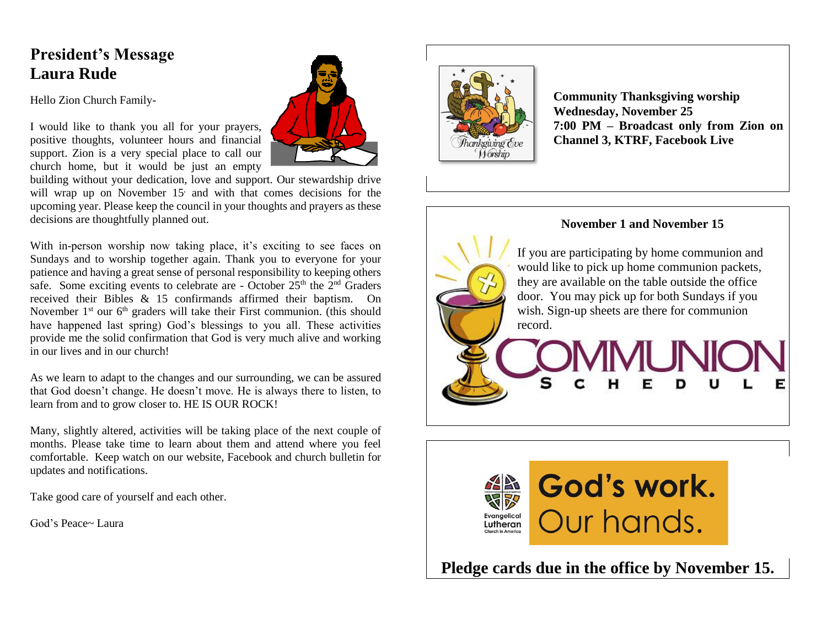### **President's Message Laura Rude**

Hello Zion Church Family-

I would like to thank you all for your prayers, positive thoughts, volunteer hours and financial support. Zion is a very special place to call our church home, but it would be just an empty



building without your dedication, love and support. Our stewardship drive will wrap up on November 15 and with that comes decisions for the upcoming year. Please keep the council in your thoughts and prayers as these decisions are thoughtfully planned out.

With in-person worship now taking place, it's exciting to see faces on Sundays and to worship together again. Thank you to everyone for your patience and having a great sense of personal responsibility to keeping others safe. Some exciting events to celebrate are - October  $25<sup>th</sup>$  the  $2<sup>nd</sup>$  Graders received their Bibles & 15 confirmands affirmed their baptism. On November  $1<sup>st</sup>$  our  $6<sup>th</sup>$  graders will take their First communion. (this should have happened last spring) God's blessings to you all. These activities provide me the solid confirmation that God is very much alive and working in our lives and in our church!

As we learn to adapt to the changes and our surrounding, we can be assured that God doesn't change. He doesn't move. He is always there to listen, to learn from and to grow closer to. HE IS OUR ROCK!

Many, slightly altered, activities will be taking place of the next couple of months. Please take time to learn about them and attend where you feel comfortable. Keep watch on our website, Facebook and church bulletin for updates and notifications.

Take good care of yourself and each other.

God's Peace~ Laura



**Community Thanksgiving worship Wednesday, November 25 7:00 PM – Broadcast only from Zion on Channel 3, KTRF, Facebook Live**





**Pledge cards due in the office by November 15.**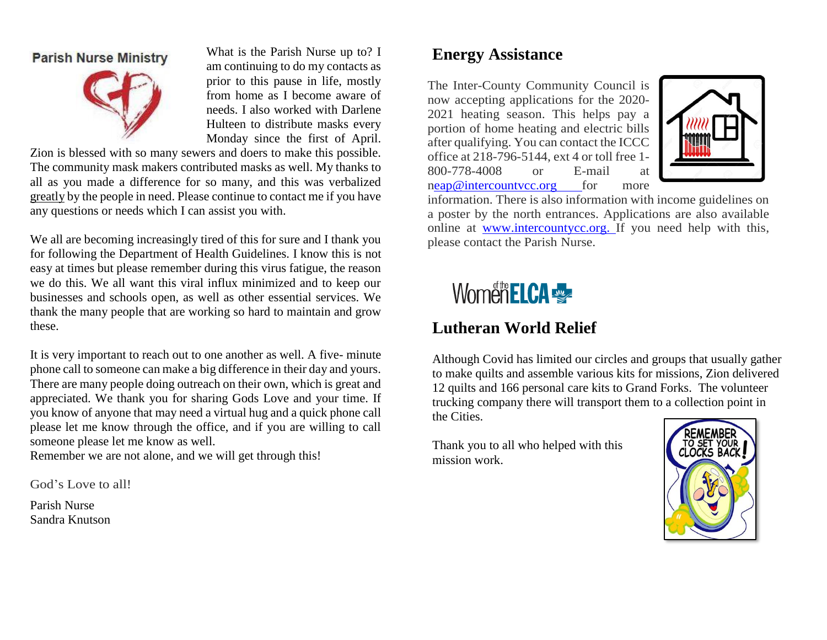#### **Parish Nurse Ministry**



What is the Parish Nurse up to? I am continuing to do my contacts as prior to this pause in life, mostly from home as I become aware of needs. I also worked with Darlene Hulteen to distribute masks every Monday since the first of April.

Zion is blessed with so many sewers and doers to make this possible. The community mask makers contributed masks as well. My thanks to all as you made a difference for so many, and this was verbalized greatly by the people in need. Please continue to contact me if you have any questions or needs which I can assist you with.

We all are becoming increasingly tired of this for sure and I thank you for following the Department of Health Guidelines. I know this is not easy at times but please remember during this virus fatigue, the reason we do this. We all want this viral influx minimized and to keep our businesses and schools open, as well as other essential services. We thank the many people that are working so hard to maintain and grow these.

It is very important to reach out to one another as well. A five- minute phone call to someone can make a big difference in their day and yours. There are many people doing outreach on their own, which is great and appreciated. We thank you for sharing Gods Love and your time. If you know of anyone that may need a virtual hug and a quick phone call please let me know through the office, and if you are willing to call someone please let me know as well.

Remember we are not alone, and we will get through this!

God's Love to all!

Parish Nurse Sandra Knutson

# **Energy Assistance**

The Inter-County Community Council is now accepting applications for the 2020- 2021 heating season. This helps pay a portion of home heating and electric bills after qualifying. You can contact the ICCC office at 218-796-5144, ext 4 or toll free 1- 800-778-4008 or E-mail at [neap@intercountvcc.org f](mailto:eap@intercountvcc.org)or more



information. There is also information with income guidelines on a poster by the north entrances. Applications are also available online at www.intercountycc.org. If you need help with this, please contact the Parish Nurse.

# Women ELCA

# **Lutheran World Relief**

Although Covid has limited our circles and groups that usually gather to make quilts and assemble various kits for missions, Zion delivered 12 quilts and 166 personal care kits to Grand Forks. The volunteer trucking company there will transport them to a collection point in the Cities.

Thank you to all who helped with this mission work.

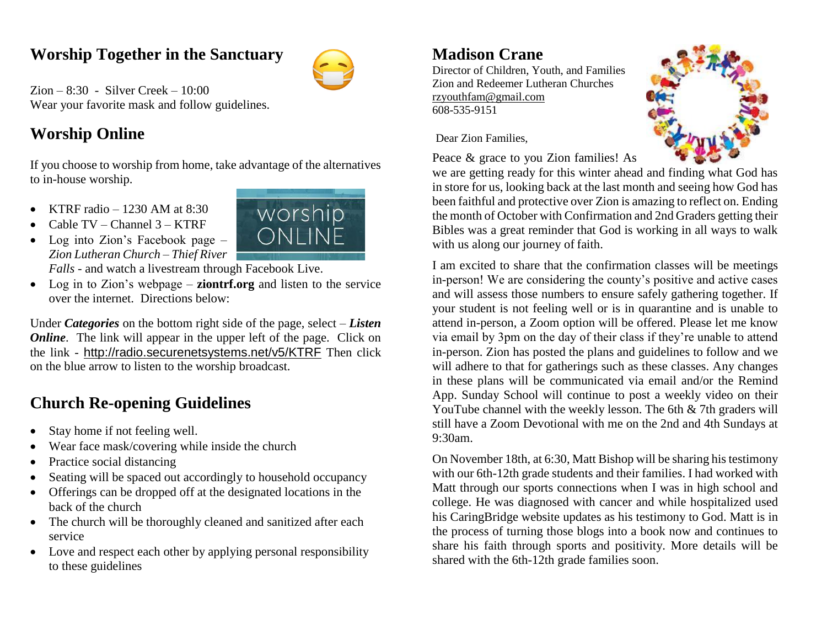### **Worship Together in the Sanctuary**



Zion – 8:30 - Silver Creek – 10:00 Wear your favorite mask and follow guidelines.

# **Worship Online**

If you choose to worship from home, take advantage of the alternatives to in-house worship.

- **KTRF** radio  $-1230$  AM at 8:30
- Cable TV Channel 3 KTRF
- Log into Zion's Facebook page *– Zion Lutheran Church – Thief River Falls* - and watch a livestream through Facebook Live.
- Log in to Zion's webpage **ziontrf.org** and listen to the service over the internet. Directions below:

Under *Categories* on the bottom right side of the page, select – *Listen Online*. The link will appear in the upper left of the page. Click on the link - <http://radio.securenetsystems.net/v5/KTRF> Then click on the blue arrow to listen to the worship broadcast.

# **Church Re-opening Guidelines**

- Stay home if not feeling well.
- Wear face mask/covering while inside the church
- Practice social distancing
- Seating will be spaced out accordingly to household occupancy
- Offerings can be dropped off at the designated locations in the back of the church
- The church will be thoroughly cleaned and sanitized after each service
- Love and respect each other by applying personal responsibility to these guidelines

#### **Madison Crane**

Director of Children, Youth, and Families Zion and Redeemer Lutheran Churches [rzyouthfam@gmail.com](mailto:rzyouthfam@gmail.com) 608-535-9151



Dear Zion Families,

Peace & grace to you Zion families! As

we are getting ready for this winter ahead and finding what God has in store for us, looking back at the last month and seeing how God has been faithful and protective over Zion is amazing to reflect on. Ending the month of October with Confirmation and 2nd Graders getting their Bibles was a great reminder that God is working in all ways to walk with us along our journey of faith.

I am excited to share that the confirmation classes will be meetings in-person! We are considering the county's positive and active cases and will assess those numbers to ensure safely gathering together. If your student is not feeling well or is in quarantine and is unable to attend in-person, a Zoom option will be offered. Please let me know via email by 3pm on the day of their class if they're unable to attend in-person. Zion has posted the plans and guidelines to follow and we will adhere to that for gatherings such as these classes. Any changes in these plans will be communicated via email and/or the Remind App. Sunday School will continue to post a weekly video on their YouTube channel with the weekly lesson. The 6th & 7th graders will still have a Zoom Devotional with me on the 2nd and 4th Sundays at 9:30am.

On November 18th, at 6:30, Matt Bishop will be sharing his testimony with our 6th-12th grade students and their families. I had worked with Matt through our sports connections when I was in high school and college. He was diagnosed with cancer and while hospitalized used his CaringBridge website updates as his testimony to God. Matt is in the process of turning those blogs into a book now and continues to share his faith through sports and positivity. More details will be shared with the 6th-12th grade families soon.

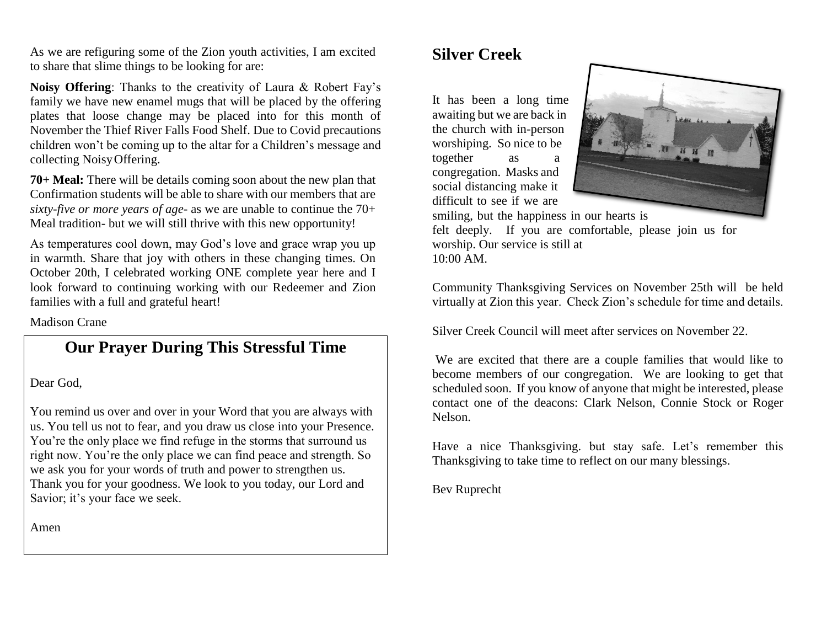As we are refiguring some of the Zion youth activities, I am excited to share that slime things to be looking for are:

**Noisy Offering**: Thanks to the creativity of Laura & Robert Fay's family we have new enamel mugs that will be placed by the offering plates that loose change may be placed into for this month of November the Thief River Falls Food Shelf. Due to Covid precautions children won't be coming up to the altar for a Children's message and collecting NoisyOffering.

**70+ Meal:** There will be details coming soon about the new plan that Confirmation students will be able to share with our members that are *sixty-five or more years of age*- as we are unable to continue the 70+ Meal tradition- but we will still thrive with this new opportunity!

As temperatures cool down, may God's love and grace wrap you up in warmth. Share that joy with others in these changing times. On October 20th, I celebrated working ONE complete year here and I look forward to continuing working with our Redeemer and Zion families with a full and grateful heart!

Madison Crane

#### **Our Prayer During This Stressful Time**

Dear God,

You remind us over and over in your Word that you are always with us. You tell us not to fear, and you draw us close into your Presence. You're the only place we find refuge in the storms that surround us right now. You're the only place we can find peace and strength. So we ask you for your words of truth and power to strengthen us. Thank you for your goodness. We look to you today, our Lord and Savior; it's your face we seek.

Amen

### **Silver Creek**

It has been a long time awaiting but we are back in the church with in-person worshiping. So nice to be together as a congregation. Masks and social distancing make it difficult to see if we are



smiling, but the happiness in our hearts is felt deeply. If you are comfortable, please join us for worship. Our service is still at 10:00 AM.

Community Thanksgiving Services on November 25th will be held virtually at Zion this year. Check Zion's schedule for time and details.

Silver Creek Council will meet after services on November 22.

We are excited that there are a couple families that would like to become members of our congregation. We are looking to get that scheduled soon. If you know of anyone that might be interested, please contact one of the deacons: Clark Nelson, Connie Stock or Roger Nelson.

Have a nice Thanksgiving. but stay safe. Let's remember this Thanksgiving to take time to reflect on our many blessings.

Bev Ruprecht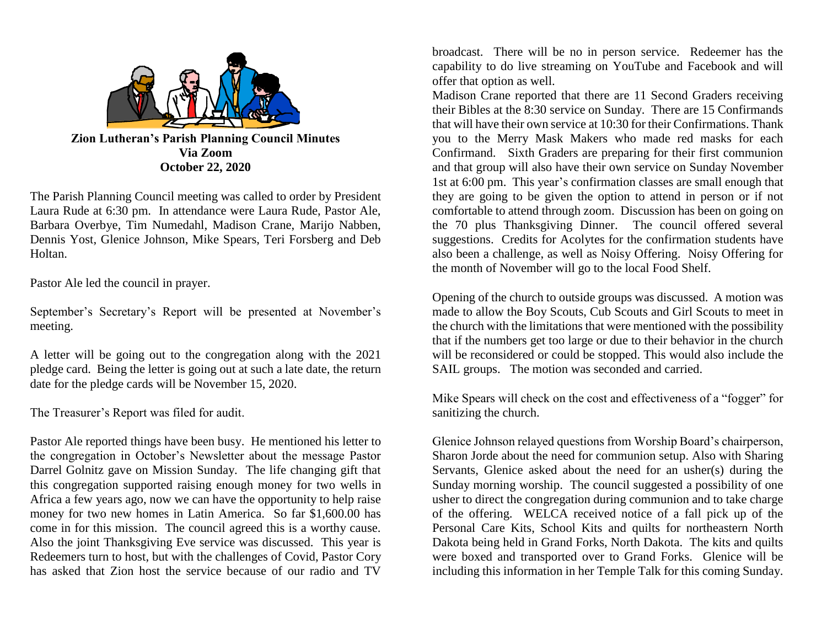

**Via Zoom October 22, 2020**

The Parish Planning Council meeting was called to order by President Laura Rude at 6:30 pm. In attendance were Laura Rude, Pastor Ale, Barbara Overbye, Tim Numedahl, Madison Crane, Marijo Nabben, Dennis Yost, Glenice Johnson, Mike Spears, Teri Forsberg and Deb Holtan.

Pastor Ale led the council in prayer.

September's Secretary's Report will be presented at November's meeting.

A letter will be going out to the congregation along with the 2021 pledge card. Being the letter is going out at such a late date, the return date for the pledge cards will be November 15, 2020.

The Treasurer's Report was filed for audit.

Pastor Ale reported things have been busy. He mentioned his letter to the congregation in October's Newsletter about the message Pastor Darrel Golnitz gave on Mission Sunday. The life changing gift that this congregation supported raising enough money for two wells in Africa a few years ago, now we can have the opportunity to help raise money for two new homes in Latin America. So far \$1,600.00 has come in for this mission. The council agreed this is a worthy cause. Also the joint Thanksgiving Eve service was discussed. This year is Redeemers turn to host, but with the challenges of Covid, Pastor Cory has asked that Zion host the service because of our radio and TV

broadcast. There will be no in person service. Redeemer has the capability to do live streaming on YouTube and Facebook and will offer that option as well.

Madison Crane reported that there are 11 Second Graders receiving their Bibles at the 8:30 service on Sunday. There are 15 Confirmands that will have their own service at 10:30 for their Confirmations. Thank you to the Merry Mask Makers who made red masks for each Confirmand. Sixth Graders are preparing for their first communion and that group will also have their own service on Sunday November 1st at 6:00 pm. This year's confirmation classes are small enough that they are going to be given the option to attend in person or if not comfortable to attend through zoom. Discussion has been on going on the 70 plus Thanksgiving Dinner. The council offered several suggestions. Credits for Acolytes for the confirmation students have also been a challenge, as well as Noisy Offering. Noisy Offering for the month of November will go to the local Food Shelf.

Opening of the church to outside groups was discussed. A motion was made to allow the Boy Scouts, Cub Scouts and Girl Scouts to meet in the church with the limitations that were mentioned with the possibility that if the numbers get too large or due to their behavior in the church will be reconsidered or could be stopped. This would also include the SAIL groups. The motion was seconded and carried.

Mike Spears will check on the cost and effectiveness of a "fogger" for sanitizing the church.

Glenice Johnson relayed questions from Worship Board's chairperson, Sharon Jorde about the need for communion setup. Also with Sharing Servants, Glenice asked about the need for an usher(s) during the Sunday morning worship. The council suggested a possibility of one usher to direct the congregation during communion and to take charge of the offering. WELCA received notice of a fall pick up of the Personal Care Kits, School Kits and quilts for northeastern North Dakota being held in Grand Forks, North Dakota. The kits and quilts were boxed and transported over to Grand Forks. Glenice will be including this information in her Temple Talk for this coming Sunday.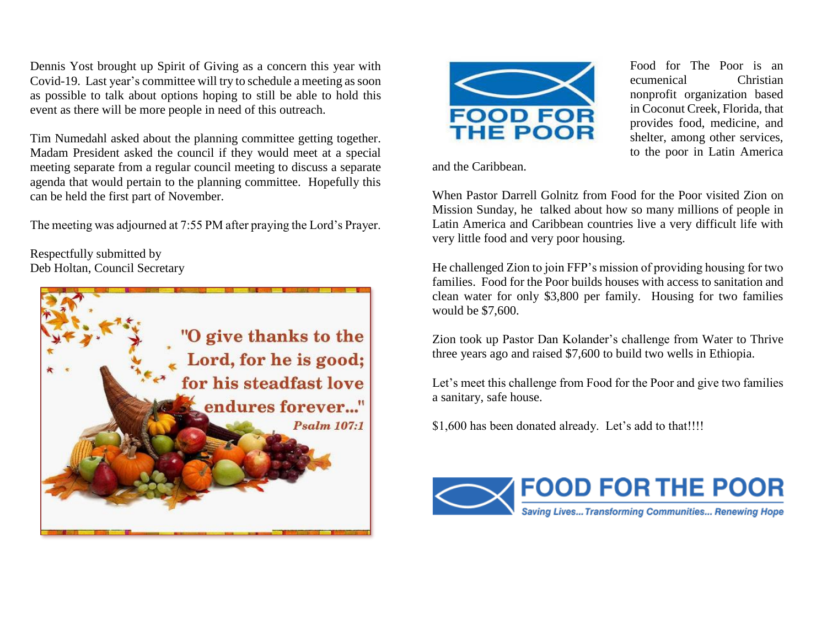Dennis Yost brought up Spirit of Giving as a concern this year with Covid-19. Last year's committee will try to schedule a meeting as soon as possible to talk about options hoping to still be able to hold this event as there will be more people in need of this outreach.

Tim Numedahl asked about the planning committee getting together. Madam President asked the council if they would meet at a special meeting separate from a regular council meeting to discuss a separate agenda that would pertain to the planning committee. Hopefully this can be held the first part of November.

The meeting was adjourned at 7:55 PM after praying the Lord's Prayer.

Respectfully submitted by Deb Holtan, Council Secretary





and the Caribbean.

When Pastor Darrell Golnitz from Food for the Poor visited Zion on Mission Sunday, he talked about how so many millions of people in Latin America and Caribbean countries live a very difficult life with very little food and very poor housing.

He challenged Zion to join FFP's mission of providing housing for two families. Food for the Poor builds houses with access to sanitation and clean water for only \$3,800 per family. Housing for two families would be \$7,600.

Zion took up Pastor Dan Kolander's challenge from Water to Thrive three years ago and raised \$7,600 to build two wells in Ethiopia.

Let's meet this challenge from Food for the Poor and give two families a sanitary, safe house.

\$1,600 has been donated already. Let's add to that!!!!



Food for The Poor is an ecumenical Christian nonprofit organization based in Coconut Creek, Florida, that provides food, medicine, and shelter, among other services, to the poor in Latin America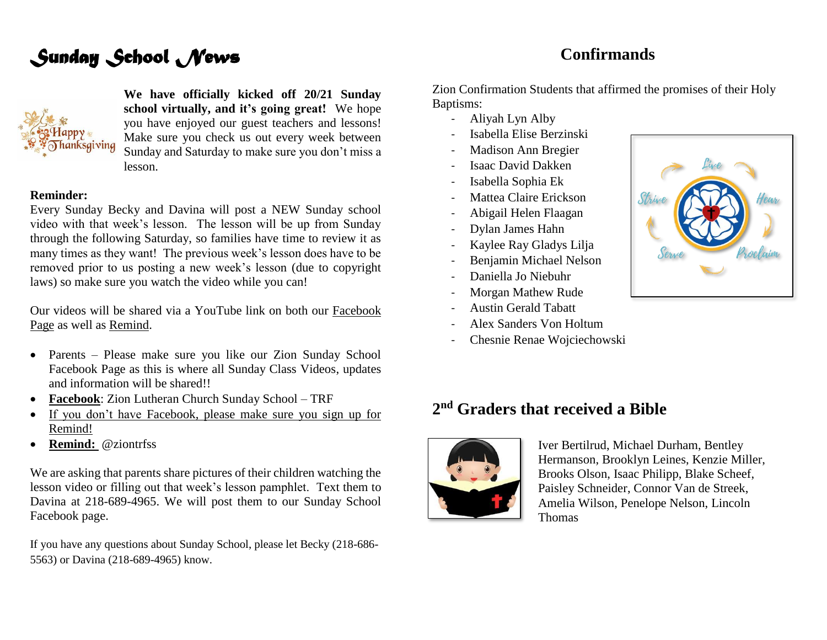#### **Confirmands**

# *Sunday School News*



**We have officially kicked off 20/21 Sunday school virtually, and it's going great!** We hope you have enjoyed our guest teachers and lessons! Make sure you check us out every week between Sunday and Saturday to make sure you don't miss a lesson.

#### **Reminder:**

Every Sunday Becky and Davina will post a NEW Sunday school video with that week's lesson. The lesson will be up from Sunday through the following Saturday, so families have time to review it as many times as they want! The previous week's lesson does have to be removed prior to us posting a new week's lesson (due to copyright laws) so make sure you watch the video while you can!

Our videos will be shared via a YouTube link on both our Facebook Page as well as Remind.

- Parents Please make sure you like our Zion Sunday School Facebook Page as this is where all Sunday Class Videos, updates and information will be shared!!
- **Facebook**: Zion Lutheran Church Sunday School TRF
- If you don't have Facebook, please make sure you sign up for Remind!
- **Remind:** @ziontrfss

We are asking that parents share pictures of their children watching the lesson video or filling out that week's lesson pamphlet. Text them to Davina at 218-689-4965. We will post them to our Sunday School Facebook page.

If you have any questions about Sunday School, please let Becky (218-686- 5563) or Davina (218-689-4965) know.

Zion Confirmation Students that affirmed the promises of their Holy Baptisms:

- Aliyah Lyn Alby
- Isabella Elise Berzinski
- Madison Ann Bregier
- Isaac David Dakken
- Isabella Sophia Ek
- Mattea Claire Erickson
- Abigail Helen Flaagan
- Dylan James Hahn
- Kaylee Ray Gladys Lilja
- Benjamin Michael Nelson
- Daniella Jo Niebuhr
- Morgan Mathew Rude
- Austin Gerald Tabatt
- Alex Sanders Von Holtum
- Chesnie Renae Wojciechowski

### **2 nd Graders that received a Bible**



Iver Bertilrud, Michael Durham, Bentley Hermanson, Brooklyn Leines, Kenzie Miller, Brooks Olson, Isaac Philipp, Blake Scheef, Paisley Schneider, Connor Van de Streek, Amelia Wilson, Penelope Nelson, Lincoln Thomas